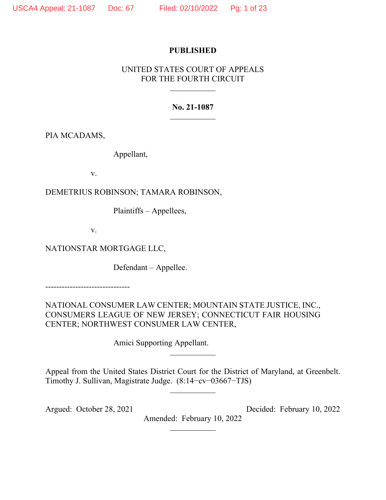## **PUBLISHED**

# UNITED STATES COURT OF APPEALS FOR THE FOURTH CIRCUIT

# **No. 21-1087**

PIA MCADAMS,

Appellant,

v.

DEMETRIUS ROBINSON; TAMARA ROBINSON,

Plaintiffs – Appellees,

v.

NATIONSTAR MORTGAGE LLC,

Defendant – Appellee.

-------------------------------

NATIONAL CONSUMER LAW CENTER; MOUNTAIN STATE JUSTICE, INC., CONSUMERS LEAGUE OF NEW JERSEY; CONNECTICUT FAIR HOUSING CENTER; NORTHWEST CONSUMER LAW CENTER,

Amici Supporting Appellant.

Appeal from the United States District Court for the District of Maryland, at Greenbelt. Timothy J. Sullivan, Magistrate Judge. (8:14−cv−03667−TJS)

Argued: October 28, 2021 Decided: February 10, 2022 Amended: February 10, 2022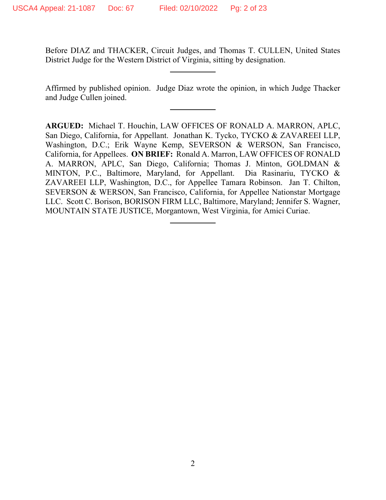Before DIAZ and THACKER, Circuit Judges, and Thomas T. CULLEN, United States District Judge for the Western District of Virginia, sitting by designation.

Affirmed by published opinion. Judge Diaz wrote the opinion, in which Judge Thacker and Judge Cullen joined.

**ARGUED:** Michael T. Houchin, LAW OFFICES OF RONALD A. MARRON, APLC, San Diego, California, for Appellant. Jonathan K. Tycko, TYCKO & ZAVAREEI LLP, Washington, D.C.; Erik Wayne Kemp, SEVERSON & WERSON, San Francisco, California, for Appellees. **ON BRIEF:** Ronald A. Marron, LAW OFFICES OF RONALD A. MARRON, APLC, San Diego, California; Thomas J. Minton, GOLDMAN & MINTON, P.C., Baltimore, Maryland, for Appellant. Dia Rasinariu, TYCKO & ZAVAREEI LLP, Washington, D.C., for Appellee Tamara Robinson. Jan T. Chilton, SEVERSON & WERSON, San Francisco, California, for Appellee Nationstar Mortgage LLC. Scott C. Borison, BORISON FIRM LLC, Baltimore, Maryland; Jennifer S. Wagner, MOUNTAIN STATE JUSTICE, Morgantown, West Virginia, for Amici Curiae.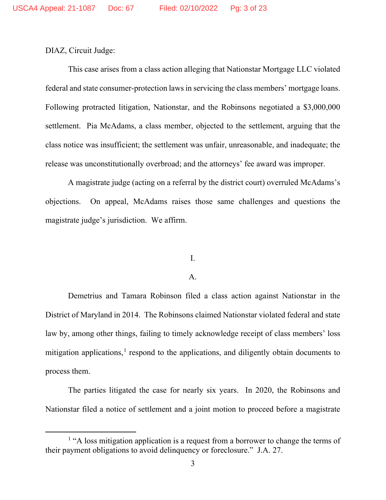DIAZ, Circuit Judge:

This case arises from a class action alleging that Nationstar Mortgage LLC violated federal and state consumer-protection laws in servicing the class members' mortgage loans. Following protracted litigation, Nationstar, and the Robinsons negotiated a \$3,000,000 settlement. Pia McAdams, a class member, objected to the settlement, arguing that the class notice was insufficient; the settlement was unfair, unreasonable, and inadequate; the release was unconstitutionally overbroad; and the attorneys' fee award was improper.

A magistrate judge (acting on a referral by the district court) overruled McAdams's objections. On appeal, McAdams raises those same challenges and questions the magistrate judge's jurisdiction. We affirm.

## I.

#### A.

Demetrius and Tamara Robinson filed a class action against Nationstar in the District of Maryland in 2014. The Robinsons claimed Nationstar violated federal and state law by, among other things, failing to timely acknowledge receipt of class members' loss mitigation applications, $<sup>1</sup>$  $<sup>1</sup>$  $<sup>1</sup>$  respond to the applications, and diligently obtain documents to</sup> process them.

The parties litigated the case for nearly six years. In 2020, the Robinsons and Nationstar filed a notice of settlement and a joint motion to proceed before a magistrate

<span id="page-2-0"></span><sup>&</sup>lt;sup>1</sup> "A loss mitigation application is a request from a borrower to change the terms of their payment obligations to avoid delinquency or foreclosure." J.A. 27.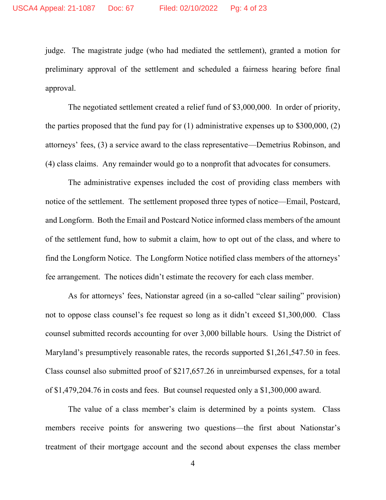judge. The magistrate judge (who had mediated the settlement), granted a motion for preliminary approval of the settlement and scheduled a fairness hearing before final approval.

The negotiated settlement created a relief fund of \$3,000,000. In order of priority, the parties proposed that the fund pay for  $(1)$  administrative expenses up to \$300,000,  $(2)$ attorneys' fees, (3) a service award to the class representative—Demetrius Robinson, and (4) class claims. Any remainder would go to a nonprofit that advocates for consumers.

The administrative expenses included the cost of providing class members with notice of the settlement. The settlement proposed three types of notice—Email, Postcard, and Longform. Both the Email and Postcard Notice informed class members of the amount of the settlement fund, how to submit a claim, how to opt out of the class, and where to find the Longform Notice. The Longform Notice notified class members of the attorneys' fee arrangement. The notices didn't estimate the recovery for each class member.

As for attorneys' fees, Nationstar agreed (in a so-called "clear sailing" provision) not to oppose class counsel's fee request so long as it didn't exceed \$1,300,000. Class counsel submitted records accounting for over 3,000 billable hours. Using the District of Maryland's presumptively reasonable rates, the records supported \$1,261,547.50 in fees. Class counsel also submitted proof of \$217,657.26 in unreimbursed expenses, for a total of \$1,479,204.76 in costs and fees. But counsel requested only a \$1,300,000 award.

The value of a class member's claim is determined by a points system. Class members receive points for answering two questions—the first about Nationstar's treatment of their mortgage account and the second about expenses the class member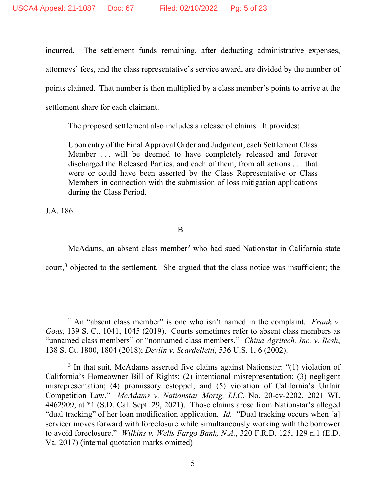incurred. The settlement funds remaining, after deducting administrative expenses, attorneys' fees, and the class representative's service award, are divided by the number of points claimed. That number is then multiplied by a class member's points to arrive at the settlement share for each claimant.

The proposed settlement also includes a release of claims. It provides:

Upon entry of the Final Approval Order and Judgment, each Settlement Class Member ... will be deemed to have completely released and forever discharged the Released Parties, and each of them, from all actions . . . that were or could have been asserted by the Class Representative or Class Members in connection with the submission of loss mitigation applications during the Class Period.

J.A. 186.

B.

McAdams, an absent class member<sup>[2](#page-4-0)</sup> who had sued Nationstar in California state court, $3$  objected to the settlement. She argued that the class notice was insufficient; the

<span id="page-4-0"></span><sup>2</sup> An "absent class member" is one who isn't named in the complaint. *Frank v. Goas*, 139 S. Ct. 1041, 1045 (2019). Courts sometimes refer to absent class members as "unnamed class members" or "nonnamed class members." *China Agritech, Inc. v. Resh*, 138 S. Ct. 1800, 1804 (2018); *Devlin v. Scardelletti*, 536 U.S. 1, 6 (2002).

<span id="page-4-1"></span> $3$  In that suit, McAdams asserted five claims against Nationstar: "(1) violation of California's Homeowner Bill of Rights; (2) intentional misrepresentation; (3) negligent misrepresentation; (4) promissory estoppel; and (5) violation of California's Unfair Competition Law." *McAdams v. Nationstar Mortg. LLC*, No. 20-cv-2202, 2021 WL 4462909, at \*1 (S.D. Cal. Sept. 29, 2021). Those claims arose from Nationstar's alleged "dual tracking" of her loan modification application. *Id.* "Dual tracking occurs when [a] servicer moves forward with foreclosure while simultaneously working with the borrower to avoid foreclosure." *Wilkins v. Wells Fargo Bank, N.A.*, 320 F.R.D. 125, 129 n.1 (E.D. Va. 2017) (internal quotation marks omitted)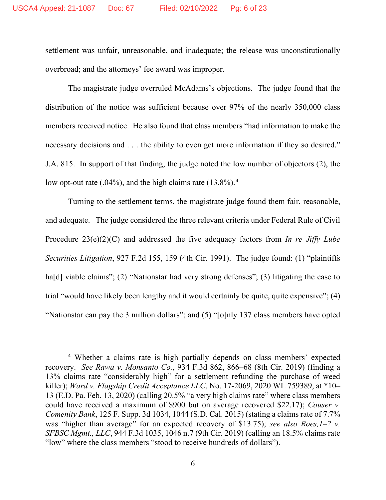settlement was unfair, unreasonable, and inadequate; the release was unconstitutionally overbroad; and the attorneys' fee award was improper.

The magistrate judge overruled McAdams's objections. The judge found that the distribution of the notice was sufficient because over 97% of the nearly 350,000 class members received notice. He also found that class members "had information to make the necessary decisions and . . . the ability to even get more information if they so desired." J.A. 815. In support of that finding, the judge noted the low number of objectors (2), the low opt-out rate  $(.04\%)$  $(.04\%)$  $(.04\%)$ , and the high claims rate  $(13.8\%)$ .<sup>4</sup>

Turning to the settlement terms, the magistrate judge found them fair, reasonable, and adequate. The judge considered the three relevant criteria under Federal Rule of Civil Procedure 23(e)(2)(C) and addressed the five adequacy factors from *In re Jiffy Lube Securities Litigation*, 927 F.2d 155, 159 (4th Cir. 1991). The judge found: (1) "plaintiffs ha<sup>[d]</sup> viable claims"; (2) "Nationstar had very strong defenses"; (3) litigating the case to trial "would have likely been lengthy and it would certainly be quite, quite expensive"; (4) "Nationstar can pay the 3 million dollars"; and (5) "[o]nly 137 class members have opted

<span id="page-5-0"></span><sup>4</sup> Whether a claims rate is high partially depends on class members' expected recovery. *See Rawa v. Monsanto Co.*, 934 F.3d 862, 866–68 (8th Cir. 2019) (finding a 13% claims rate "considerably high" for a settlement refunding the purchase of weed killer); *Ward v. Flagship Credit Acceptance LLC*, No. 17-2069, 2020 WL 759389, at \*10– 13 (E.D. Pa. Feb. 13, 2020) (calling 20.5% "a very high claims rate" where class members could have received a maximum of \$900 but on average recovered \$22.17); *Couser v. Comenity Bank*, 125 F. Supp. 3d 1034, 1044 (S.D. Cal. 2015) (stating a claims rate of 7.7% was "higher than average" for an expected recovery of \$13.75); *see also Roes,1–2 v. SFBSC Mgmt., LLC*, 944 F.3d 1035, 1046 n.7 (9th Cir. 2019) (calling an 18.5% claims rate "low" where the class members "stood to receive hundreds of dollars").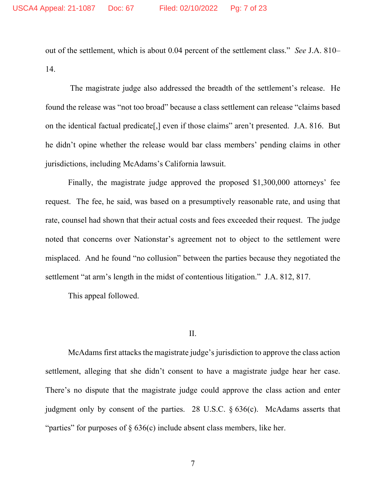out of the settlement, which is about 0.04 percent of the settlement class." *See* J.A. 810– 14.

The magistrate judge also addressed the breadth of the settlement's release. He found the release was "not too broad" because a class settlement can release "claims based on the identical factual predicate[,] even if those claims" aren't presented. J.A. 816. But he didn't opine whether the release would bar class members' pending claims in other jurisdictions, including McAdams's California lawsuit.

Finally, the magistrate judge approved the proposed \$1,300,000 attorneys' fee request. The fee, he said, was based on a presumptively reasonable rate, and using that rate, counsel had shown that their actual costs and fees exceeded their request. The judge noted that concerns over Nationstar's agreement not to object to the settlement were misplaced. And he found "no collusion" between the parties because they negotiated the settlement "at arm's length in the midst of contentious litigation." J.A. 812, 817.

This appeal followed.

II.

McAdams first attacks the magistrate judge's jurisdiction to approve the class action settlement, alleging that she didn't consent to have a magistrate judge hear her case. There's no dispute that the magistrate judge could approve the class action and enter judgment only by consent of the parties. 28 U.S.C. § 636(c). McAdams asserts that "parties" for purposes of  $\S 636(c)$  include absent class members, like her.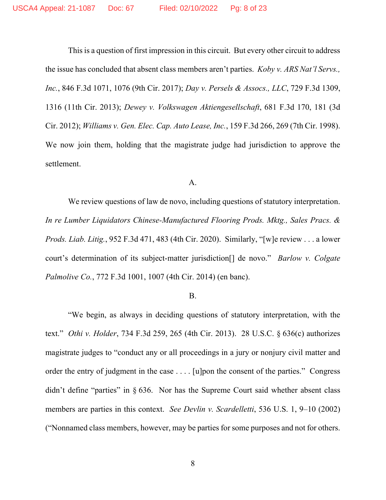This is a question of first impression in this circuit. But every other circuit to address the issue has concluded that absent class members aren't parties. *Koby v. ARS Nat'l Servs., Inc.*, 846 F.3d 1071, 1076 (9th Cir. 2017); *Day v. Persels & Assocs., LLC*, 729 F.3d 1309, 1316 (11th Cir. 2013); *Dewey v. Volkswagen Aktiengesellschaft*, 681 F.3d 170, 181 (3d Cir. 2012); *Williams v. Gen. Elec. Cap. Auto Lease, Inc.*, 159 F.3d 266, 269 (7th Cir. 1998). We now join them, holding that the magistrate judge had jurisdiction to approve the settlement.

#### A.

We review questions of law de novo, including questions of statutory interpretation. *In re Lumber Liquidators Chinese-Manufactured Flooring Prods. Mktg., Sales Pracs. & Prods. Liab. Litig.*, 952 F.3d 471, 483 (4th Cir. 2020). Similarly, "[w]e review . . . a lower court's determination of its subject-matter jurisdiction[] de novo." *Barlow v. Colgate Palmolive Co.*, 772 F.3d 1001, 1007 (4th Cir. 2014) (en banc).

#### B.

"We begin, as always in deciding questions of statutory interpretation, with the text." *Othi v. Holder*, 734 F.3d 259, 265 (4th Cir. 2013). 28 U.S.C. § 636(c) authorizes magistrate judges to "conduct any or all proceedings in a jury or nonjury civil matter and order the entry of judgment in the case . . . . [u]pon the consent of the parties." Congress didn't define "parties" in § 636. Nor has the Supreme Court said whether absent class members are parties in this context. *See Devlin v. Scardelletti*, 536 U.S. 1, 9–10 (2002) ("Nonnamed class members, however, may be parties for some purposes and not for others.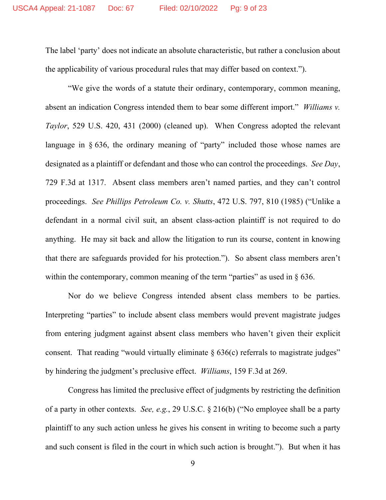The label 'party' does not indicate an absolute characteristic, but rather a conclusion about the applicability of various procedural rules that may differ based on context.").

"We give the words of a statute their ordinary, contemporary, common meaning, absent an indication Congress intended them to bear some different import." *Williams v. Taylor*, 529 U.S. 420, 431 (2000) (cleaned up). When Congress adopted the relevant language in § 636, the ordinary meaning of "party" included those whose names are designated as a plaintiff or defendant and those who can control the proceedings. *See Day*, 729 F.3d at 1317. Absent class members aren't named parties, and they can't control proceedings. *See Phillips Petroleum Co. v. Shutts*, 472 U.S. 797, 810 (1985) ("Unlike a defendant in a normal civil suit, an absent class-action plaintiff is not required to do anything. He may sit back and allow the litigation to run its course, content in knowing that there are safeguards provided for his protection."). So absent class members aren't within the contemporary, common meaning of the term "parties" as used in  $\S$  636.

Nor do we believe Congress intended absent class members to be parties. Interpreting "parties" to include absent class members would prevent magistrate judges from entering judgment against absent class members who haven't given their explicit consent. That reading "would virtually eliminate  $\S 636(c)$  referrals to magistrate judges" by hindering the judgment's preclusive effect. *Williams*, 159 F.3d at 269.

Congress has limited the preclusive effect of judgments by restricting the definition of a party in other contexts. *See, e.g.*, 29 U.S.C. § 216(b) ("No employee shall be a party plaintiff to any such action unless he gives his consent in writing to become such a party and such consent is filed in the court in which such action is brought."). But when it has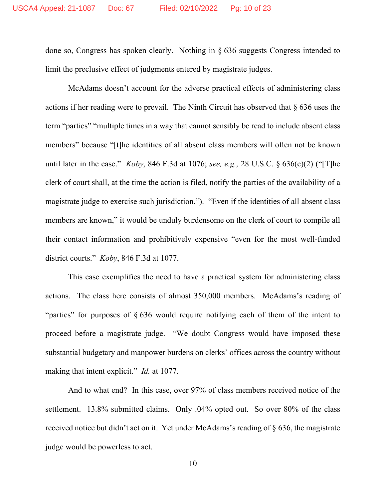done so, Congress has spoken clearly. Nothing in § 636 suggests Congress intended to limit the preclusive effect of judgments entered by magistrate judges.

McAdams doesn't account for the adverse practical effects of administering class actions if her reading were to prevail. The Ninth Circuit has observed that § 636 uses the term "parties" "multiple times in a way that cannot sensibly be read to include absent class members" because "[t]he identities of all absent class members will often not be known until later in the case." *Koby*, 846 F.3d at 1076; *see, e.g.*, 28 U.S.C. § 636(c)(2) ("[T]he clerk of court shall, at the time the action is filed, notify the parties of the availability of a magistrate judge to exercise such jurisdiction."). "Even if the identities of all absent class members are known," it would be unduly burdensome on the clerk of court to compile all their contact information and prohibitively expensive "even for the most well-funded district courts." *Koby*, 846 F.3d at 1077.

This case exemplifies the need to have a practical system for administering class actions. The class here consists of almost 350,000 members. McAdams's reading of "parties" for purposes of § 636 would require notifying each of them of the intent to proceed before a magistrate judge. "We doubt Congress would have imposed these substantial budgetary and manpower burdens on clerks' offices across the country without making that intent explicit." *Id.* at 1077.

And to what end? In this case, over 97% of class members received notice of the settlement. 13.8% submitted claims. Only .04% opted out. So over 80% of the class received notice but didn't act on it. Yet under McAdams's reading of § 636, the magistrate judge would be powerless to act.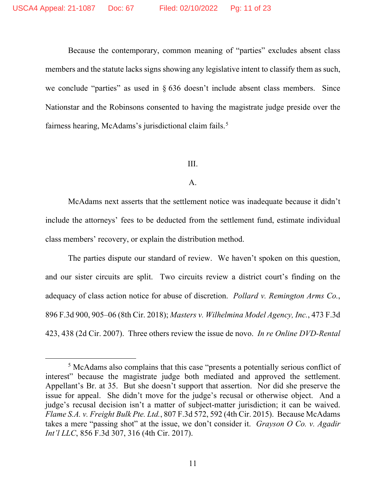Because the contemporary, common meaning of "parties" excludes absent class members and the statute lacks signs showing any legislative intent to classify them as such, we conclude "parties" as used in § 636 doesn't include absent class members. Since Nationstar and the Robinsons consented to having the magistrate judge preside over the fairness hearing, McAdams's jurisdictional claim fails.<sup>[5](#page-10-0)</sup>

#### III.

#### A.

McAdams next asserts that the settlement notice was inadequate because it didn't include the attorneys' fees to be deducted from the settlement fund, estimate individual class members' recovery, or explain the distribution method.

The parties dispute our standard of review. We haven't spoken on this question, and our sister circuits are split. Two circuits review a district court's finding on the adequacy of class action notice for abuse of discretion. *Pollard v. Remington Arms Co.*, 896 F.3d 900, 905–06 (8th Cir. 2018); *Masters v. Wilhelmina Model Agency, Inc.*, 473 F.3d 423, 438 (2d Cir. 2007). Three others review the issue de novo. *In re Online DVD-Rental* 

<span id="page-10-0"></span><sup>5</sup> McAdams also complains that this case "presents a potentially serious conflict of interest" because the magistrate judge both mediated and approved the settlement. Appellant's Br. at 35. But she doesn't support that assertion. Nor did she preserve the issue for appeal. She didn't move for the judge's recusal or otherwise object. And a judge's recusal decision isn't a matter of subject-matter jurisdiction; it can be waived. *Flame S.A. v. Freight Bulk Pte. Ltd.*, 807 F.3d 572, 592 (4th Cir. 2015). Because McAdams takes a mere "passing shot" at the issue, we don't consider it. *Grayson O Co. v. Agadir Int'l LLC*, 856 F.3d 307, 316 (4th Cir. 2017).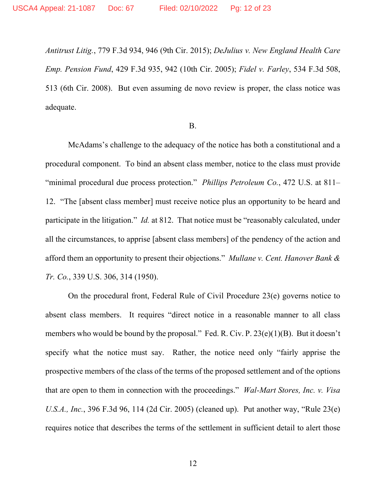*Antitrust Litig.*, 779 F.3d 934, 946 (9th Cir. 2015); *DeJulius v. New England Health Care Emp. Pension Fund*, 429 F.3d 935, 942 (10th Cir. 2005); *Fidel v. Farley*, 534 F.3d 508, 513 (6th Cir. 2008). But even assuming de novo review is proper, the class notice was adequate.

## B.

McAdams's challenge to the adequacy of the notice has both a constitutional and a procedural component. To bind an absent class member, notice to the class must provide "minimal procedural due process protection." *Phillips Petroleum Co.*, 472 U.S. at 811– 12. "The [absent class member] must receive notice plus an opportunity to be heard and participate in the litigation." *Id.* at 812. That notice must be "reasonably calculated, under all the circumstances, to apprise [absent class members] of the pendency of the action and afford them an opportunity to present their objections." *Mullane v. Cent. Hanover Bank & Tr. Co.*, 339 U.S. 306, 314 (1950).

On the procedural front, Federal Rule of Civil Procedure 23(e) governs notice to absent class members. It requires "direct notice in a reasonable manner to all class members who would be bound by the proposal." Fed. R. Civ. P. 23(e)(1)(B). But it doesn't specify what the notice must say. Rather, the notice need only "fairly apprise the prospective members of the class of the terms of the proposed settlement and of the options that are open to them in connection with the proceedings." *Wal-Mart Stores, Inc. v. Visa U.S.A., Inc.*, 396 F.3d 96, 114 (2d Cir. 2005) (cleaned up). Put another way, "Rule 23(e) requires notice that describes the terms of the settlement in sufficient detail to alert those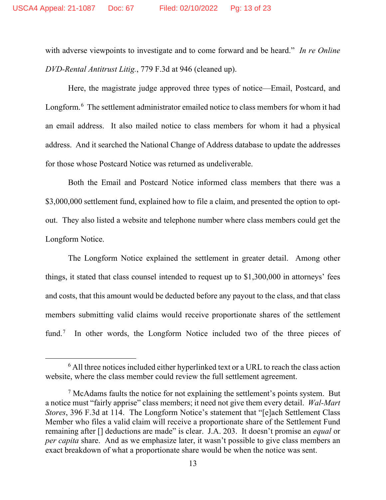with adverse viewpoints to investigate and to come forward and be heard." *In re Online DVD-Rental Antitrust Litig.*, 779 F.3d at 946 (cleaned up).

Here, the magistrate judge approved three types of notice—Email, Postcard, and Longform.<sup>[6](#page-12-0)</sup> The settlement administrator emailed notice to class members for whom it had an email address. It also mailed notice to class members for whom it had a physical address. And it searched the National Change of Address database to update the addresses for those whose Postcard Notice was returned as undeliverable.

Both the Email and Postcard Notice informed class members that there was a \$3,000,000 settlement fund, explained how to file a claim, and presented the option to optout. They also listed a website and telephone number where class members could get the Longform Notice.

The Longform Notice explained the settlement in greater detail. Among other things, it stated that class counsel intended to request up to \$1,300,000 in attorneys' fees and costs, that this amount would be deducted before any payout to the class, and that class members submitting valid claims would receive proportionate shares of the settlement fund.<sup>[7](#page-12-1)</sup> In other words, the Longform Notice included two of the three pieces of

<span id="page-12-0"></span> $6$  All three notices included either hyperlinked text or a URL to reach the class action website, where the class member could review the full settlement agreement.

<span id="page-12-1"></span> $<sup>7</sup>$  McAdams faults the notice for not explaining the settlement's points system. But</sup> a notice must "fairly apprise" class members; it need not give them every detail. *Wal-Mart Stores*, 396 F.3d at 114. The Longform Notice's statement that "[e]ach Settlement Class Member who files a valid claim will receive a proportionate share of the Settlement Fund remaining after [] deductions are made" is clear. J.A. 203. It doesn't promise an *equal* or *per capita* share. And as we emphasize later, it wasn't possible to give class members an exact breakdown of what a proportionate share would be when the notice was sent.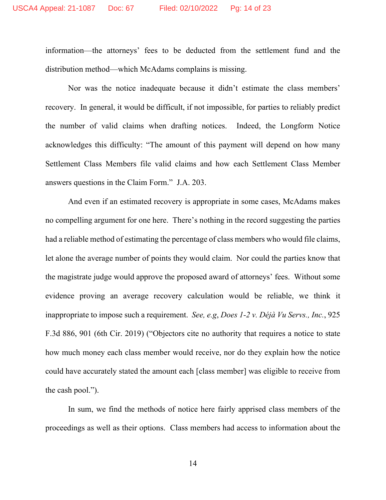information—the attorneys' fees to be deducted from the settlement fund and the distribution method—which McAdams complains is missing.

Nor was the notice inadequate because it didn't estimate the class members' recovery. In general, it would be difficult, if not impossible, for parties to reliably predict the number of valid claims when drafting notices. Indeed, the Longform Notice acknowledges this difficulty: "The amount of this payment will depend on how many Settlement Class Members file valid claims and how each Settlement Class Member answers questions in the Claim Form." J.A. 203.

And even if an estimated recovery is appropriate in some cases, McAdams makes no compelling argument for one here. There's nothing in the record suggesting the parties had a reliable method of estimating the percentage of class members who would file claims, let alone the average number of points they would claim. Nor could the parties know that the magistrate judge would approve the proposed award of attorneys' fees. Without some evidence proving an average recovery calculation would be reliable, we think it inappropriate to impose such a requirement. *See, e.g*, *Does 1-2 v. Déjà Vu Servs., Inc.*, 925 F.3d 886, 901 (6th Cir. 2019) ("Objectors cite no authority that requires a notice to state how much money each class member would receive, nor do they explain how the notice could have accurately stated the amount each [class member] was eligible to receive from the cash pool.").

In sum, we find the methods of notice here fairly apprised class members of the proceedings as well as their options. Class members had access to information about the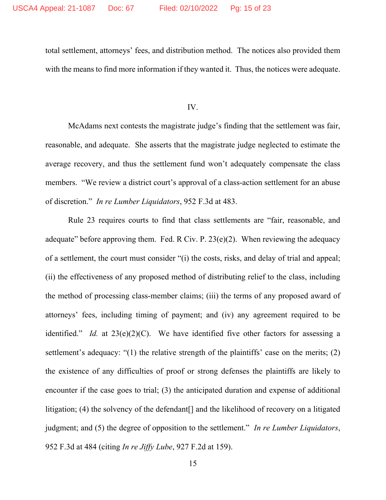total settlement, attorneys' fees, and distribution method. The notices also provided them with the means to find more information if they wanted it. Thus, the notices were adequate.

IV.

McAdams next contests the magistrate judge's finding that the settlement was fair, reasonable, and adequate. She asserts that the magistrate judge neglected to estimate the average recovery, and thus the settlement fund won't adequately compensate the class members. "We review a district court's approval of a class-action settlement for an abuse of discretion." *In re Lumber Liquidators*, 952 F.3d at 483.

Rule 23 requires courts to find that class settlements are "fair, reasonable, and adequate" before approving them. Fed. R Civ. P.  $23(e)(2)$ . When reviewing the adequacy of a settlement, the court must consider "(i) the costs, risks, and delay of trial and appeal; (ii) the effectiveness of any proposed method of distributing relief to the class, including the method of processing class-member claims; (iii) the terms of any proposed award of attorneys' fees, including timing of payment; and (iv) any agreement required to be identified." *Id.* at 23(e)(2)(C). We have identified five other factors for assessing a settlement's adequacy: "(1) the relative strength of the plaintiffs' case on the merits; (2) the existence of any difficulties of proof or strong defenses the plaintiffs are likely to encounter if the case goes to trial; (3) the anticipated duration and expense of additional litigation; (4) the solvency of the defendant<sup>[]</sup> and the likelihood of recovery on a litigated judgment; and (5) the degree of opposition to the settlement." *In re Lumber Liquidators*, 952 F.3d at 484 (citing *In re Jiffy Lube*, 927 F.2d at 159).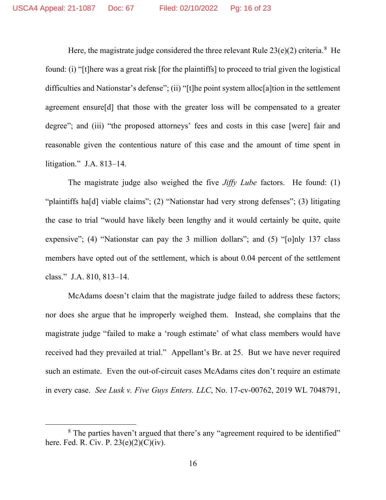Here, the magistrate judge considered the three relevant Rule  $23(e)(2)$  criteria.<sup>[8](#page-15-0)</sup> He found: (i) "[t]here was a great risk [for the plaintiffs] to proceed to trial given the logistical difficulties and Nationstar's defense"; (ii) "[t]he point system alloc[a]tion in the settlement agreement ensure[d] that those with the greater loss will be compensated to a greater degree"; and (iii) "the proposed attorneys' fees and costs in this case [were] fair and reasonable given the contentious nature of this case and the amount of time spent in litigation." J.A. 813–14.

The magistrate judge also weighed the five *Jiffy Lube* factors. He found: (1) "plaintiffs ha[d] viable claims"; (2) "Nationstar had very strong defenses"; (3) litigating the case to trial "would have likely been lengthy and it would certainly be quite, quite expensive"; (4) "Nationstar can pay the 3 million dollars"; and (5) "[o]nly 137 class members have opted out of the settlement, which is about 0.04 percent of the settlement class." J.A. 810, 813–14.

McAdams doesn't claim that the magistrate judge failed to address these factors; nor does she argue that he improperly weighed them. Instead, she complains that the magistrate judge "failed to make a 'rough estimate' of what class members would have received had they prevailed at trial." Appellant's Br. at 25. But we have never required such an estimate. Even the out-of-circuit cases McAdams cites don't require an estimate in every case. *See Lusk v. Five Guys Enters. LLC*, No. 17-cv-00762, 2019 WL 7048791,

<span id="page-15-0"></span><sup>&</sup>lt;sup>8</sup> The parties haven't argued that there's any "agreement required to be identified" here. Fed. R. Civ. P. 23(e)(2)(C)(iv).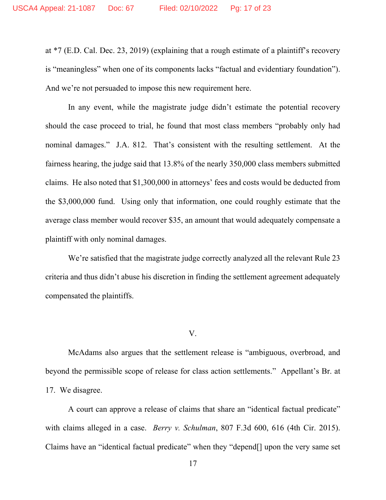at \*7 (E.D. Cal. Dec. 23, 2019) (explaining that a rough estimate of a plaintiff's recovery is "meaningless" when one of its components lacks "factual and evidentiary foundation"). And we're not persuaded to impose this new requirement here.

In any event, while the magistrate judge didn't estimate the potential recovery should the case proceed to trial, he found that most class members "probably only had nominal damages." J.A. 812. That's consistent with the resulting settlement. At the fairness hearing, the judge said that 13.8% of the nearly 350,000 class members submitted claims. He also noted that \$1,300,000 in attorneys' fees and costs would be deducted from the \$3,000,000 fund. Using only that information, one could roughly estimate that the average class member would recover \$35, an amount that would adequately compensate a plaintiff with only nominal damages.

We're satisfied that the magistrate judge correctly analyzed all the relevant Rule 23 criteria and thus didn't abuse his discretion in finding the settlement agreement adequately compensated the plaintiffs.

V.

McAdams also argues that the settlement release is "ambiguous, overbroad, and beyond the permissible scope of release for class action settlements." Appellant's Br. at 17. We disagree.

A court can approve a release of claims that share an "identical factual predicate" with claims alleged in a case. *Berry v. Schulman*, 807 F.3d 600, 616 (4th Cir. 2015). Claims have an "identical factual predicate" when they "depend[] upon the very same set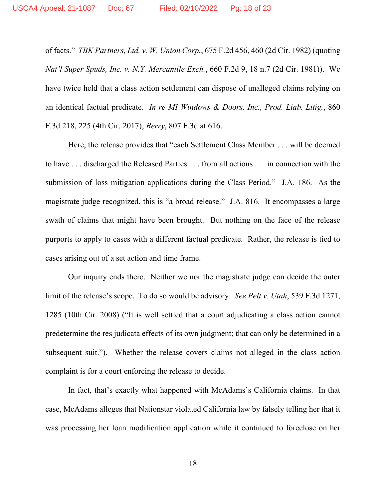of facts." *TBK Partners, Ltd. v. W. Union Corp.*, 675 F.2d 456, 460 (2d Cir. 1982) (quoting *Nat'l Super Spuds, Inc. v. N.Y. Mercantile Exch.*, 660 F.2d 9, 18 n.7 (2d Cir. 1981)). We have twice held that a class action settlement can dispose of unalleged claims relying on an identical factual predicate. *In re MI Windows & Doors, Inc., Prod. Liab. Litig.*, 860 F.3d 218, 225 (4th Cir. 2017); *Berry*, 807 F.3d at 616.

Here, the release provides that "each Settlement Class Member . . . will be deemed to have . . . discharged the Released Parties . . . from all actions . . . in connection with the submission of loss mitigation applications during the Class Period." J.A. 186. As the magistrate judge recognized, this is "a broad release." J.A. 816. It encompasses a large swath of claims that might have been brought. But nothing on the face of the release purports to apply to cases with a different factual predicate. Rather, the release is tied to cases arising out of a set action and time frame.

Our inquiry ends there. Neither we nor the magistrate judge can decide the outer limit of the release's scope. To do so would be advisory. *See Pelt v. Utah*, 539 F.3d 1271, 1285 (10th Cir. 2008) ("It is well settled that a court adjudicating a class action cannot predetermine the res judicata effects of its own judgment; that can only be determined in a subsequent suit."). Whether the release covers claims not alleged in the class action complaint is for a court enforcing the release to decide.

In fact, that's exactly what happened with McAdams's California claims. In that case, McAdams alleges that Nationstar violated California law by falsely telling her that it was processing her loan modification application while it continued to foreclose on her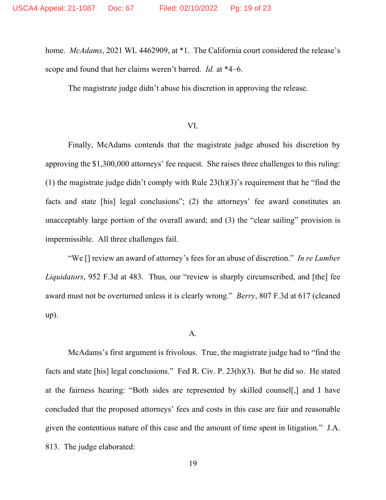home. *McAdams*, 2021 WL 4462909, at \*1. The California court considered the release's scope and found that her claims weren't barred. *Id.* at \*4–6.

The magistrate judge didn't abuse his discretion in approving the release.

### VI.

Finally, McAdams contends that the magistrate judge abused his discretion by approving the \$1,300,000 attorneys' fee request. She raises three challenges to this ruling: (1) the magistrate judge didn't comply with Rule 23(h)(3)'s requirement that he "find the facts and state [his] legal conclusions"; (2) the attorneys' fee award constitutes an unacceptably large portion of the overall award; and (3) the "clear sailing" provision is impermissible. All three challenges fail.

"We [] review an award of attorney's fees for an abuse of discretion." *In re Lumber Liquidators*, 952 F.3d at 483. Thus, our "review is sharply circumscribed, and [the] fee award must not be overturned unless it is clearly wrong." *Berry*, 807 F.3d at 617 (cleaned up).

#### A.

McAdams's first argument is frivolous. True, the magistrate judge had to "find the facts and state [his] legal conclusions." Fed R. Civ. P. 23(h)(3). But he did so. He stated at the fairness hearing: "Both sides are represented by skilled counsel[,] and I have concluded that the proposed attorneys' fees and costs in this case are fair and reasonable given the contentious nature of this case and the amount of time spent in litigation." J.A. 813. The judge elaborated: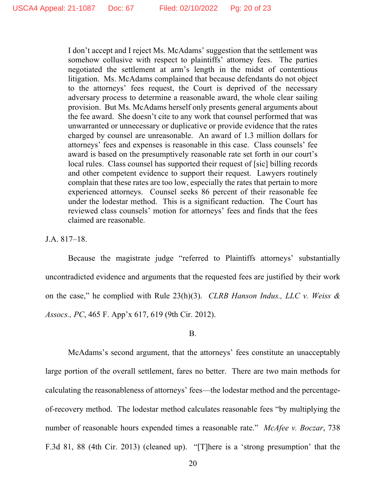I don't accept and I reject Ms. McAdams' suggestion that the settlement was somehow collusive with respect to plaintiffs' attorney fees. The parties negotiated the settlement at arm's length in the midst of contentious litigation. Ms. McAdams complained that because defendants do not object to the attorneys' fees request, the Court is deprived of the necessary adversary process to determine a reasonable award, the whole clear sailing provision. But Ms. McAdams herself only presents general arguments about the fee award. She doesn't cite to any work that counsel performed that was unwarranted or unnecessary or duplicative or provide evidence that the rates charged by counsel are unreasonable. An award of 1.3 million dollars for attorneys' fees and expenses is reasonable in this case. Class counsels' fee award is based on the presumptively reasonable rate set forth in our court's local rules. Class counsel has supported their request of [sic] billing records and other competent evidence to support their request. Lawyers routinely complain that these rates are too low, especially the rates that pertain to more experienced attorneys. Counsel seeks 86 percent of their reasonable fee under the lodestar method. This is a significant reduction. The Court has reviewed class counsels' motion for attorneys' fees and finds that the fees claimed are reasonable.

J.A. 817–18.

Because the magistrate judge "referred to Plaintiffs attorneys' substantially uncontradicted evidence and arguments that the requested fees are justified by their work on the case," he complied with Rule 23(h)(3). *CLRB Hanson Indus., LLC v. Weiss & Assocs., PC*, 465 F. App'x 617, 619 (9th Cir. 2012).

B.

McAdams's second argument, that the attorneys' fees constitute an unacceptably large portion of the overall settlement, fares no better. There are two main methods for calculating the reasonableness of attorneys' fees—the lodestar method and the percentageof-recovery method. The lodestar method calculates reasonable fees "by multiplying the number of reasonable hours expended times a reasonable rate." *McAfee v. Boczar*, 738 F.3d 81, 88 (4th Cir. 2013) (cleaned up). "[T]here is a 'strong presumption' that the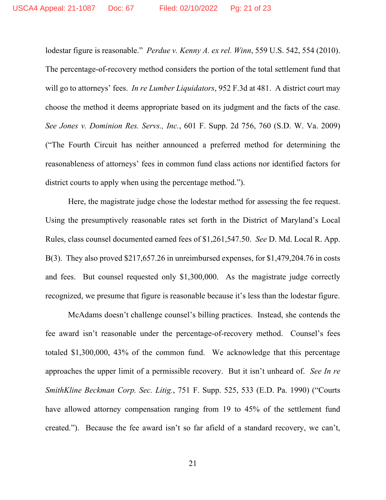lodestar figure is reasonable." *Perdue v. Kenny A. ex rel. Winn*, 559 U.S. 542, 554 (2010). The percentage-of-recovery method considers the portion of the total settlement fund that will go to attorneys' fees. *In re Lumber Liquidators*, 952 F.3d at 481. A district court may choose the method it deems appropriate based on its judgment and the facts of the case. *See Jones v. Dominion Res. Servs., Inc.*, 601 F. Supp. 2d 756, 760 (S.D. W. Va. 2009) ("The Fourth Circuit has neither announced a preferred method for determining the reasonableness of attorneys' fees in common fund class actions nor identified factors for district courts to apply when using the percentage method.").

Here, the magistrate judge chose the lodestar method for assessing the fee request. Using the presumptively reasonable rates set forth in the District of Maryland's Local Rules, class counsel documented earned fees of \$1,261,547.50. *See* D. Md. Local R. App. B(3). They also proved \$217,657.26 in unreimbursed expenses, for \$1,479,204.76 in costs and fees. But counsel requested only \$1,300,000. As the magistrate judge correctly recognized, we presume that figure is reasonable because it's less than the lodestar figure.

McAdams doesn't challenge counsel's billing practices. Instead, she contends the fee award isn't reasonable under the percentage-of-recovery method. Counsel's fees totaled \$1,300,000, 43% of the common fund. We acknowledge that this percentage approaches the upper limit of a permissible recovery. But it isn't unheard of. *See In re SmithKline Beckman Corp. Sec. Litig.*, 751 F. Supp. 525, 533 (E.D. Pa. 1990) ("Courts have allowed attorney compensation ranging from 19 to 45% of the settlement fund created."). Because the fee award isn't so far afield of a standard recovery, we can't,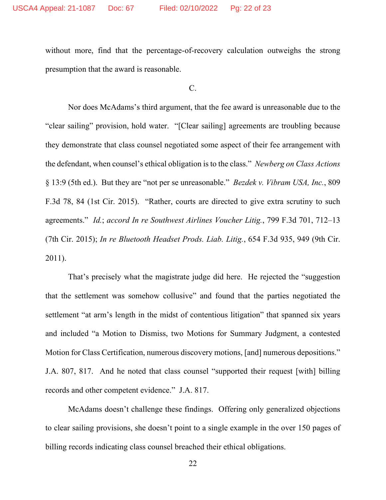without more, find that the percentage-of-recovery calculation outweighs the strong presumption that the award is reasonable.

 $C<sub>c</sub>$ 

Nor does McAdams's third argument, that the fee award is unreasonable due to the "clear sailing" provision, hold water. "[Clear sailing] agreements are troubling because they demonstrate that class counsel negotiated some aspect of their fee arrangement with the defendant, when counsel's ethical obligation is to the class." *Newberg on Class Actions* § 13:9 (5th ed.). But they are "not per se unreasonable." *Bezdek v. Vibram USA, Inc.*, 809 F.3d 78, 84 (1st Cir. 2015). "Rather, courts are directed to give extra scrutiny to such agreements." *Id.*; *accord In re Southwest Airlines Voucher Litig.*, 799 F.3d 701, 712–13 (7th Cir. 2015); *In re Bluetooth Headset Prods. Liab. Litig.*, 654 F.3d 935, 949 (9th Cir. 2011).

That's precisely what the magistrate judge did here. He rejected the "suggestion that the settlement was somehow collusive" and found that the parties negotiated the settlement "at arm's length in the midst of contentious litigation" that spanned six years and included "a Motion to Dismiss, two Motions for Summary Judgment, a contested Motion for Class Certification, numerous discovery motions, [and] numerous depositions." J.A. 807, 817. And he noted that class counsel "supported their request [with] billing records and other competent evidence." J.A. 817.

McAdams doesn't challenge these findings. Offering only generalized objections to clear sailing provisions, she doesn't point to a single example in the over 150 pages of billing records indicating class counsel breached their ethical obligations.